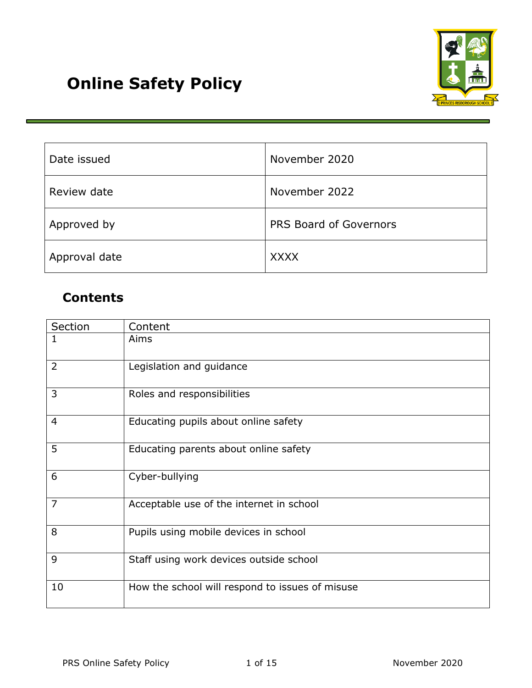

| Date issued   | November 2020          |
|---------------|------------------------|
| Review date   | November 2022          |
| Approved by   | PRS Board of Governors |
| Approval date | <b>XXXX</b>            |

# **Contents**

| Section        | Content                                         |
|----------------|-------------------------------------------------|
|                | Aims                                            |
| $\overline{2}$ | Legislation and guidance                        |
| 3              | Roles and responsibilities                      |
| $\overline{4}$ | Educating pupils about online safety            |
| 5              | Educating parents about online safety           |
| 6              | Cyber-bullying                                  |
| $\overline{7}$ | Acceptable use of the internet in school        |
| 8              | Pupils using mobile devices in school           |
| 9              | Staff using work devices outside school         |
| 10             | How the school will respond to issues of misuse |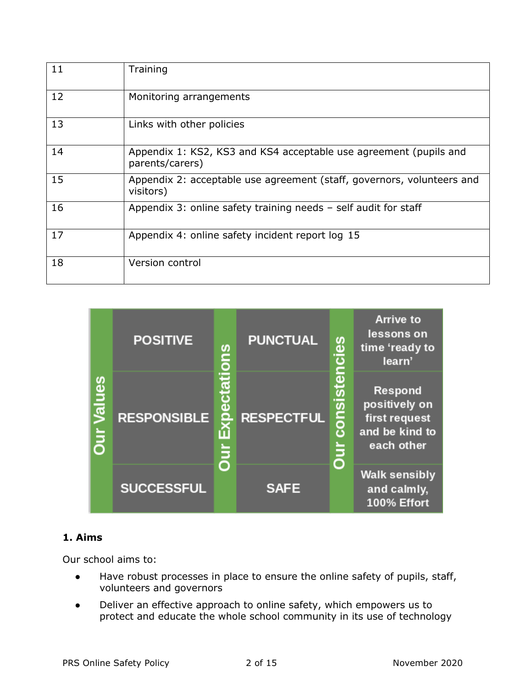| 11 | Training                                                                             |
|----|--------------------------------------------------------------------------------------|
| 12 | Monitoring arrangements                                                              |
| 13 | Links with other policies                                                            |
| 14 | Appendix 1: KS2, KS3 and KS4 acceptable use agreement (pupils and<br>parents/carers) |
| 15 | Appendix 2: acceptable use agreement (staff, governors, volunteers and<br>visitors)  |
| 16 | Appendix 3: online safety training needs - self audit for staff                      |
| 17 | Appendix 4: online safety incident report log 15                                     |
| 18 | Version control                                                                      |



### **1. Aims**

Our school aims to:

- Have robust processes in place to ensure the online safety of pupils, staff, volunteers and governors
- Deliver an effective approach to online safety, which empowers us to protect and educate the whole school community in its use of technology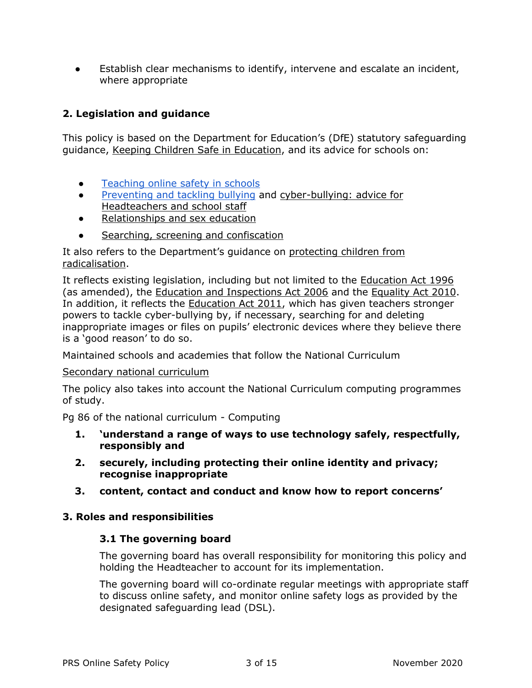<span id="page-2-0"></span>● Establish clear mechanisms to identify, intervene and escalate an incident, where appropriate

### **2. Legislation and guidance**

This policy is based on the Department for Education's (DfE) statutory safeguarding guidance, [Keeping Children Safe in Education,](https://www.gov.uk/government/publications/keeping-children-safe-in-education--2) and its advice for schools on:

- [Teaching online safety in schools](https://www.gov.uk/government/publications/teaching-online-safety-in-schools)
- [Preventing and tackling bullying](https://www.gov.uk/government/publications/preventing-and-tackling-bullying) and [cyber-bullying: advice for](https://www.gov.uk/government/publications/preventing-and-tackling-bullying)  [Headteachers and school staff](https://www.gov.uk/government/publications/preventing-and-tackling-bullying)
- [Relationships and sex education](https://www.gov.uk/government/publications/relationships-education-relationships-and-sex-education-rse-and-health-education)
- [Searching, screening and confiscation](https://www.gov.uk/government/publications/searching-screening-and-confiscation)

It also refers to the Department's guidance on [protecting children from](https://www.gov.uk/government/publications/protecting-children-from-radicalisation-the-prevent-duty)  [radicalisation.](https://www.gov.uk/government/publications/protecting-children-from-radicalisation-the-prevent-duty)

It reflects existing legislation, including but not limited to the [Education Act 1996](https://www.legislation.gov.uk/ukpga/1996/56/contents) (as amended), the [Education and Inspections Act 2006](https://www.legislation.gov.uk/ukpga/2006/40/contents) and the [Equality Act 2010.](https://www.legislation.gov.uk/ukpga/2010/15/contents) In addition, it reflects the [Education Act 2011,](http://www.legislation.gov.uk/ukpga/2011/21/contents/enacted) which has given teachers stronger powers to tackle cyber-bullying by, if necessary, searching for and deleting inappropriate images or files on pupils' electronic devices where they believe there is a 'good reason' to do so.

Maintained schools and academies that follow the National Curriculum

#### [Secondary national curriculum](https://assets.publishing.service.gov.uk/government/uploads/system/uploads/attachment_data/file/840002/Secondary_national_curriculum_corrected_PDF.pdf)

The policy also takes into account the National Curriculum computing programmes of study.

Pg 86 of the national curriculum - Computing

- **1. 'understand a range of ways to use technology safely, respectfully, responsibly and**
- **2. securely, including protecting their online identity and privacy; recognise inappropriate**
- **3. content, contact and conduct and know how to report concerns'**

#### **3. Roles and responsibilities**

#### **3.1 The governing board**

The governing board has overall responsibility for monitoring this policy and holding the Headteacher to account for its implementation.

The governing board will co-ordinate regular meetings with appropriate staff to discuss online safety, and monitor online safety logs as provided by the designated safeguarding lead (DSL).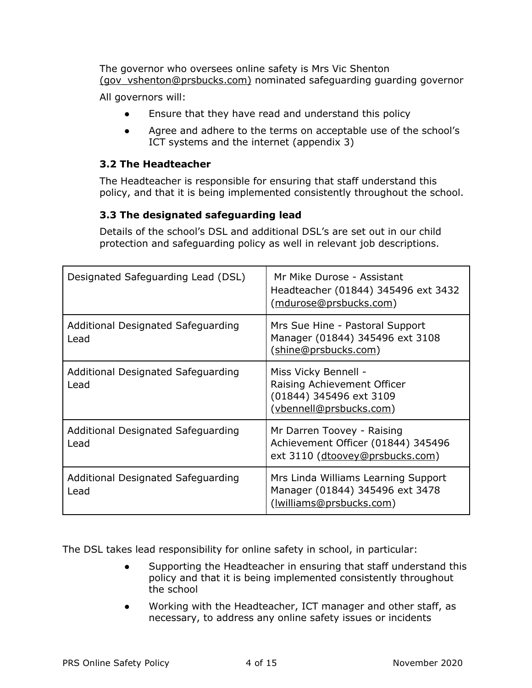The governor who oversees online safety is Mrs Vic Shenton [\(gov\\_vshenton@prsbucks.com\)](mailto:gov_vshenton@prsbucks.com) nominated safeguarding guarding governor

All governors will:

- Ensure that they have read and understand this policy
- Agree and adhere to the terms on acceptable use of the school's ICT systems and the internet (appendix 3)

### **3.2 The Headteacher**

The Headteacher is responsible for ensuring that staff understand this policy, and that it is being implemented consistently throughout the school.

### **3.3 The designated safeguarding lead**

Details of the school's DSL and additional DSL's are set out in our child protection and safeguarding policy as well in relevant job descriptions.

| Designated Safeguarding Lead (DSL)         | Mr Mike Durose - Assistant<br>Headteacher (01844) 345496 ext 3432<br>(mdurose@prsbucks.com)               |
|--------------------------------------------|-----------------------------------------------------------------------------------------------------------|
| Additional Designated Safeguarding<br>Lead | Mrs Sue Hine - Pastoral Support<br>Manager (01844) 345496 ext 3108<br>(shine@prsbucks.com)                |
| Additional Designated Safeguarding<br>Lead | Miss Vicky Bennell -<br>Raising Achievement Officer<br>(01844) 345496 ext 3109<br>(vbennell@prsbucks.com) |
| Additional Designated Safeguarding<br>Lead | Mr Darren Toovey - Raising<br>Achievement Officer (01844) 345496<br>ext 3110 (dtoovey@prsbucks.com)       |
| Additional Designated Safeguarding<br>Lead | Mrs Linda Williams Learning Support<br>Manager (01844) 345496 ext 3478<br><u>(Iwilliams@prsbucks.com)</u> |

The DSL takes lead responsibility for online safety in school, in particular:

- Supporting the Headteacher in ensuring that staff understand this policy and that it is being implemented consistently throughout the school
- Working with the Headteacher, ICT manager and other staff, as necessary, to address any online safety issues or incidents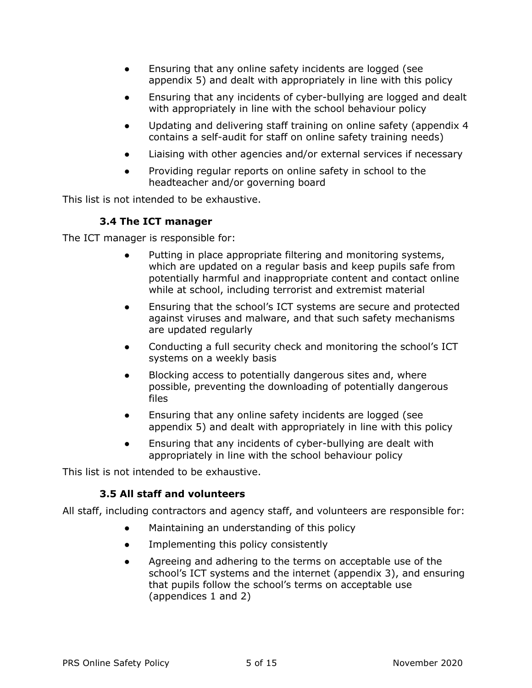- Ensuring that any online safety incidents are logged (see appendix 5) and dealt with appropriately in line with this policy
- Ensuring that any incidents of cyber-bullying are logged and dealt with appropriately in line with the school behaviour policy
- Updating and delivering staff training on online safety (appendix 4 contains a self-audit for staff on online safety training needs)
- Liaising with other agencies and/or external services if necessary
- Providing regular reports on online safety in school to the headteacher and/or governing board

This list is not intended to be exhaustive.

### **3.4 The ICT manager**

The ICT manager is responsible for:

- Putting in place appropriate filtering and monitoring systems, which are updated on a regular basis and keep pupils safe from potentially harmful and inappropriate content and contact online while at school, including terrorist and extremist material
- Ensuring that the school's ICT systems are secure and protected against viruses and malware, and that such safety mechanisms are updated regularly
- Conducting a full security check and monitoring the school's ICT systems on a weekly basis
- Blocking access to potentially dangerous sites and, where possible, preventing the downloading of potentially dangerous files
- Ensuring that any online safety incidents are logged (see appendix 5) and dealt with appropriately in line with this policy
- Ensuring that any incidents of cyber-bullying are dealt with appropriately in line with the school behaviour policy

This list is not intended to be exhaustive.

### **3.5 All staff and volunteers**

All staff, including contractors and agency staff, and volunteers are responsible for:

- Maintaining an understanding of this policy
- Implementing this policy consistently
- Agreeing and adhering to the terms on acceptable use of the school's ICT systems and the internet (appendix 3), and ensuring that pupils follow the school's terms on acceptable use (appendices 1 and 2)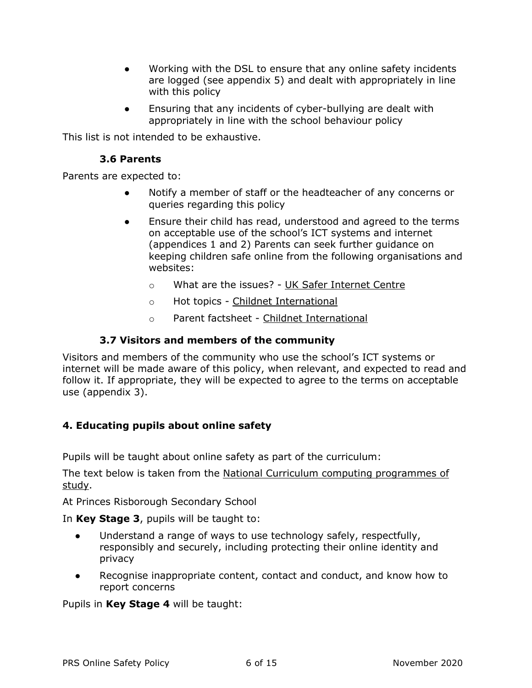- Working with the DSL to ensure that any online safety incidents are logged (see appendix 5) and dealt with appropriately in line with this policy
- Ensuring that any incidents of cyber-bullying are dealt with appropriately in line with the school behaviour policy

This list is not intended to be exhaustive.

### **3.6 Parents**

Parents are expected to:

- Notify a member of staff or the headteacher of any concerns or queries regarding this policy
- Ensure their child has read, understood and agreed to the terms on acceptable use of the school's ICT systems and internet (appendices 1 and 2) Parents can seek further guidance on keeping children safe online from the following organisations and websites:
	- o What are the issues? [UK Safer Internet Centre](https://www.saferinternet.org.uk/advice-centre/parents-and-carers/what-are-issues)
	- o Hot topics [Childnet International](http://www.childnet.com/parents-and-carers/hot-topics)
	- o Parent factsheet [Childnet International](https://www.childnet.com/resources/parents-and-carers-resource-sheet)

### **3.7 Visitors and members of the community**

<span id="page-5-0"></span>Visitors and members of the community who use the school's ICT systems or internet will be made aware of this policy, when relevant, and expected to read and follow it. If appropriate, they will be expected to agree to the terms on acceptable use (appendix 3).

### **4. Educating pupils about online safety**

Pupils will be taught about online safety as part of the curriculum:

The text below is taken from the [National Curriculum computing programmes of](https://www.gov.uk/government/publications/national-curriculum-in-england-computing-programmes-of-study/national-curriculum-in-england-computing-programmes-of-study)  [study.](https://www.gov.uk/government/publications/national-curriculum-in-england-computing-programmes-of-study/national-curriculum-in-england-computing-programmes-of-study)

At Princes Risborough Secondary School

In **Key Stage 3**, pupils will be taught to:

- Understand a range of ways to use technology safely, respectfully, responsibly and securely, including protecting their online identity and privacy
- Recognise inappropriate content, contact and conduct, and know how to report concerns

Pupils in **Key Stage 4** will be taught: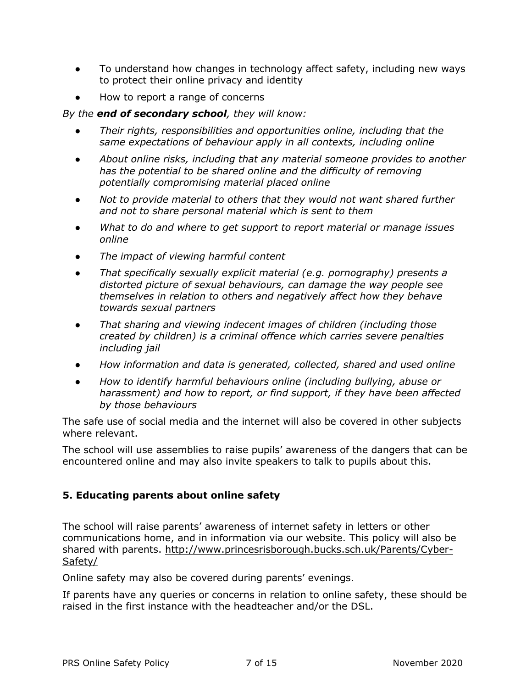- To understand how changes in technology affect safety, including new ways to protect their online privacy and identity
- How to report a range of concerns

#### *By the end of secondary school, they will know:*

- *Their rights, responsibilities and opportunities online, including that the same expectations of behaviour apply in all contexts, including online*
- *About online risks, including that any material someone provides to another has the potential to be shared online and the difficulty of removing potentially compromising material placed online*
- *Not to provide material to others that they would not want shared further and not to share personal material which is sent to them*
- *What to do and where to get support to report material or manage issues online*
- *The impact of viewing harmful content*
- *That specifically sexually explicit material (e.g. pornography) presents a distorted picture of sexual behaviours, can damage the way people see themselves in relation to others and negatively affect how they behave towards sexual partners*
- *That sharing and viewing indecent images of children (including those created by children) is a criminal offence which carries severe penalties including jail*
- *How information and data is generated, collected, shared and used online*
- *How to identify harmful behaviours online (including bullying, abuse or harassment) and how to report, or find support, if they have been affected by those behaviours*

The safe use of social media and the internet will also be covered in other subjects where relevant.

<span id="page-6-0"></span>The school will use assemblies to raise pupils' awareness of the dangers that can be encountered online and may also invite speakers to talk to pupils about this.

### **5. Educating parents about online safety**

The school will raise parents' awareness of internet safety in letters or other communications home, and in information via our website. This policy will also be shared with parents. [http://www.princesrisborough.bucks.sch.uk/Parents/Cyber-](http://www.princesrisborough.bucks.sch.uk/Parents/Cyber-Safety/)[Safety/](http://www.princesrisborough.bucks.sch.uk/Parents/Cyber-Safety/)

Online safety may also be covered during parents' evenings.

If parents have any queries or concerns in relation to online safety, these should be raised in the first instance with the headteacher and/or the DSL.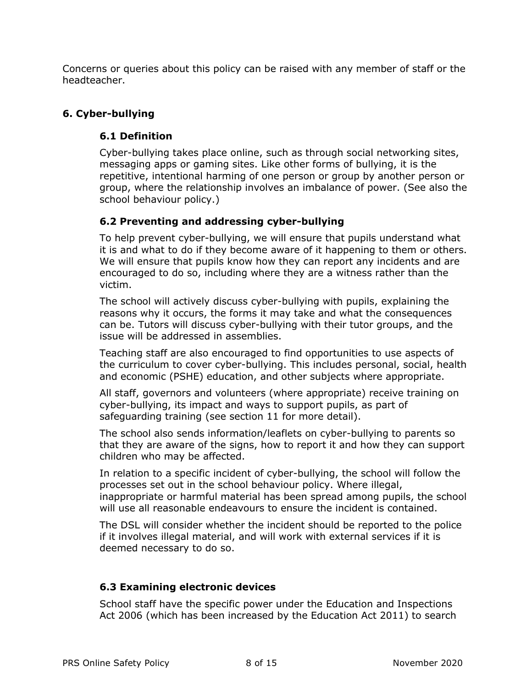<span id="page-7-0"></span>Concerns or queries about this policy can be raised with any member of staff or the headteacher.

### **6. Cyber-bullying**

### **6.1 Definition**

Cyber-bullying takes place online, such as through social networking sites, messaging apps or gaming sites. Like other forms of bullying, it is the repetitive, intentional harming of one person or group by another person or group, where the relationship involves an imbalance of power. (See also the school behaviour policy.)

### **6.2 Preventing and addressing cyber-bullying**

To help prevent cyber-bullying, we will ensure that pupils understand what it is and what to do if they become aware of it happening to them or others. We will ensure that pupils know how they can report any incidents and are encouraged to do so, including where they are a witness rather than the victim.

The school will actively discuss cyber-bullying with pupils, explaining the reasons why it occurs, the forms it may take and what the consequences can be. Tutors will discuss cyber-bullying with their tutor groups, and the issue will be addressed in assemblies.

Teaching staff are also encouraged to find opportunities to use aspects of the curriculum to cover cyber-bullying. This includes personal, social, health and economic (PSHE) education, and other subjects where appropriate.

All staff, governors and volunteers (where appropriate) receive training on cyber-bullying, its impact and ways to support pupils, as part of safeguarding training (see section 11 for more detail).

The school also sends information/leaflets on cyber-bullying to parents so that they are aware of the signs, how to report it and how they can support children who may be affected.

In relation to a specific incident of cyber-bullying, the school will follow the processes set out in the school behaviour policy. Where illegal, inappropriate or harmful material has been spread among pupils, the school will use all reasonable endeavours to ensure the incident is contained.

The DSL will consider whether the incident should be reported to the police if it involves illegal material, and will work with external services if it is deemed necessary to do so.

### **6.3 Examining electronic devices**

School staff have the specific power under the Education and Inspections Act 2006 (which has been increased by the Education Act 2011) to search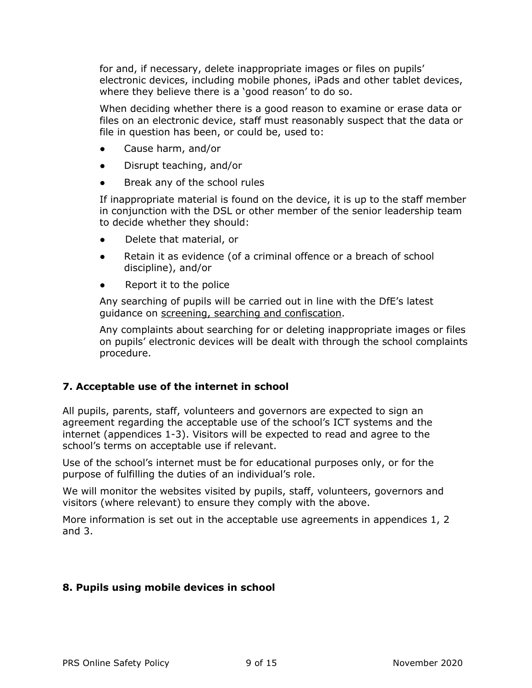for and, if necessary, delete inappropriate images or files on pupils' electronic devices, including mobile phones, iPads and other tablet devices, where they believe there is a 'good reason' to do so.

When deciding whether there is a good reason to examine or erase data or files on an electronic device, staff must reasonably suspect that the data or file in question has been, or could be, used to:

- Cause harm, and/or
- Disrupt teaching, and/or
- Break any of the school rules

If inappropriate material is found on the device, it is up to the staff member in conjunction with the DSL or other member of the senior leadership team to decide whether they should:

- Delete that material, or
- Retain it as evidence (of a criminal offence or a breach of school discipline), and/or
- Report it to the police

Any searching of pupils will be carried out in line with the DfE's latest guidance on [screening, searching and confiscation.](https://www.gov.uk/government/publications/searching-screening-and-confiscation)

<span id="page-8-0"></span>Any complaints about searching for or deleting inappropriate images or files on pupils' electronic devices will be dealt with through the school complaints procedure.

### **7. Acceptable use of the internet in school**

All pupils, parents, staff, volunteers and governors are expected to sign an agreement regarding the acceptable use of the school's ICT systems and the internet (appendices 1-3). Visitors will be expected to read and agree to the school's terms on acceptable use if relevant.

Use of the school's internet must be for educational purposes only, or for the purpose of fulfilling the duties of an individual's role.

We will monitor the websites visited by pupils, staff, volunteers, governors and visitors (where relevant) to ensure they comply with the above.

<span id="page-8-1"></span>More information is set out in the acceptable use agreements in appendices 1, 2 and 3.

### **8. Pupils using mobile devices in school**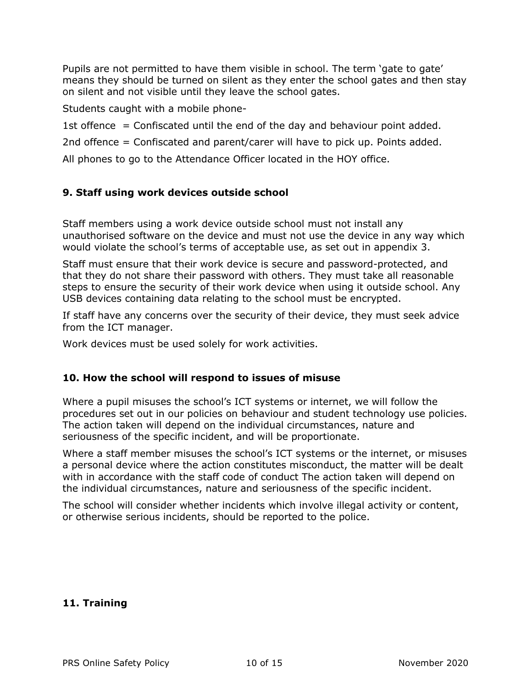Pupils are not permitted to have them visible in school. The term 'gate to gate' means they should be turned on silent as they enter the school gates and then stay on silent and not visible until they leave the school gates.

Students caught with a mobile phone-

1st offence  $=$  Confiscated until the end of the day and behaviour point added.

2nd offence = Confiscated and parent/carer will have to pick up. Points added.

All phones to go to the Attendance Officer located in the HOY office.

### **9. Staff using work devices outside school**

Staff members using a work device outside school must not install any unauthorised software on the device and must not use the device in any way which would violate the school's terms of acceptable use, as set out in appendix 3.

Staff must ensure that their work device is secure and password-protected, and that they do not share their password with others. They must take all reasonable steps to ensure the security of their work device when using it outside school. Any USB devices containing data relating to the school must be encrypted.

If staff have any concerns over the security of their device, they must seek advice from the ICT manager.

<span id="page-9-0"></span>Work devices must be used solely for work activities.

#### **10. How the school will respond to issues of misuse**

Where a pupil misuses the school's ICT systems or internet, we will follow the procedures set out in our policies on behaviour and student technology use policies. The action taken will depend on the individual circumstances, nature and seriousness of the specific incident, and will be proportionate.

Where a staff member misuses the school's ICT systems or the internet, or misuses a personal device where the action constitutes misconduct, the matter will be dealt with in accordance with the staff code of conduct The action taken will depend on the individual circumstances, nature and seriousness of the specific incident.

<span id="page-9-1"></span>The school will consider whether incidents which involve illegal activity or content, or otherwise serious incidents, should be reported to the police.

#### **11. Training**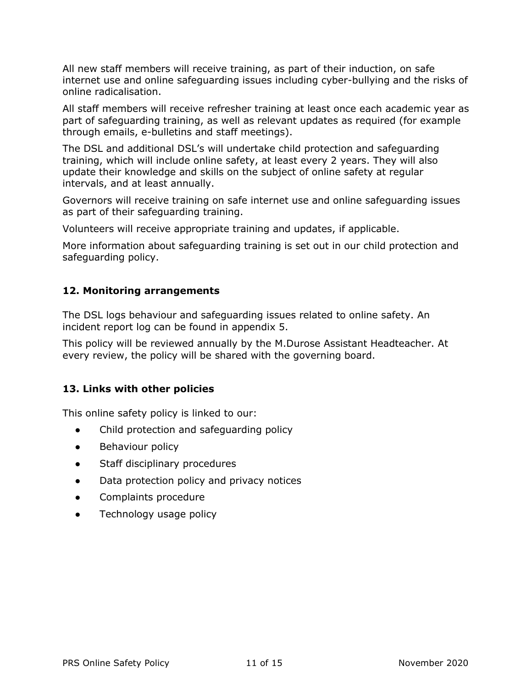All new staff members will receive training, as part of their induction, on safe internet use and online safeguarding issues including cyber-bullying and the risks of online radicalisation.

All staff members will receive refresher training at least once each academic year as part of safeguarding training, as well as relevant updates as required (for example through emails, e-bulletins and staff meetings).

The DSL and additional DSL's will undertake child protection and safeguarding training, which will include online safety, at least every 2 years. They will also update their knowledge and skills on the subject of online safety at regular intervals, and at least annually.

Governors will receive training on safe internet use and online safeguarding issues as part of their safeguarding training.

Volunteers will receive appropriate training and updates, if applicable.

<span id="page-10-0"></span>More information about safeguarding training is set out in our child protection and safeguarding policy.

### **12. Monitoring arrangements**

The DSL logs behaviour and safeguarding issues related to online safety. An incident report log can be found in appendix 5.

<span id="page-10-1"></span>This policy will be reviewed annually by the M.Durose Assistant Headteacher. At every review, the policy will be shared with the governing board.

### **13. Links with other policies**

This online safety policy is linked to our:

- Child protection and safeguarding policy
- Behaviour policy
- Staff disciplinary procedures
- Data protection policy and privacy notices
- Complaints procedure
- Technology usage policy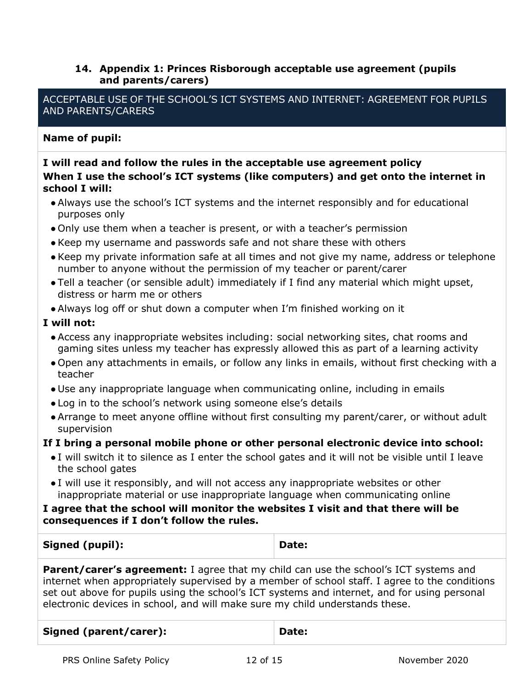### <span id="page-11-0"></span>**14. Appendix 1: Princes Risborough acceptable use agreement (pupils and parents/carers)**

ACCEPTABLE USE OF THE SCHOOL'S ICT SYSTEMS AND INTERNET: AGREEMENT FOR PUPILS AND PARENTS/CARERS

### **Name of pupil:**

### **I will read and follow the rules in the acceptable use agreement policy When I use the school's ICT systems (like computers) and get onto the internet in school I will:**

- ●Always use the school's ICT systems and the internet responsibly and for educational purposes only
- Only use them when a teacher is present, or with a teacher's permission
- ●Keep my username and passwords safe and not share these with others
- ●Keep my private information safe at all times and not give my name, address or telephone number to anyone without the permission of my teacher or parent/carer
- Tell a teacher (or sensible adult) immediately if I find any material which might upset, distress or harm me or others
- ●Always log off or shut down a computer when I'm finished working on it

### **I will not:**

- ●Access any inappropriate websites including: social networking sites, chat rooms and gaming sites unless my teacher has expressly allowed this as part of a learning activity
- Open any attachments in emails, or follow any links in emails, without first checking with a teacher
- Use any inappropriate language when communicating online, including in emails
- Log in to the school's network using someone else's details
- ●Arrange to meet anyone offline without first consulting my parent/carer, or without adult supervision

#### **If I bring a personal mobile phone or other personal electronic device into school:**

- I will switch it to silence as I enter the school gates and it will not be visible until I leave the school gates
- I will use it responsibly, and will not access any inappropriate websites or other inappropriate material or use inappropriate language when communicating online

#### **I agree that the school will monitor the websites I visit and that there will be consequences if I don't follow the rules.**

### **Signed (pupil): Date:**

**Parent/carer's agreement:** I agree that my child can use the school's ICT systems and internet when appropriately supervised by a member of school staff. I agree to the conditions set out above for pupils using the school's ICT systems and internet, and for using personal electronic devices in school, and will make sure my child understands these.

| Signed (parent/carer): | Date: |
|------------------------|-------|
|------------------------|-------|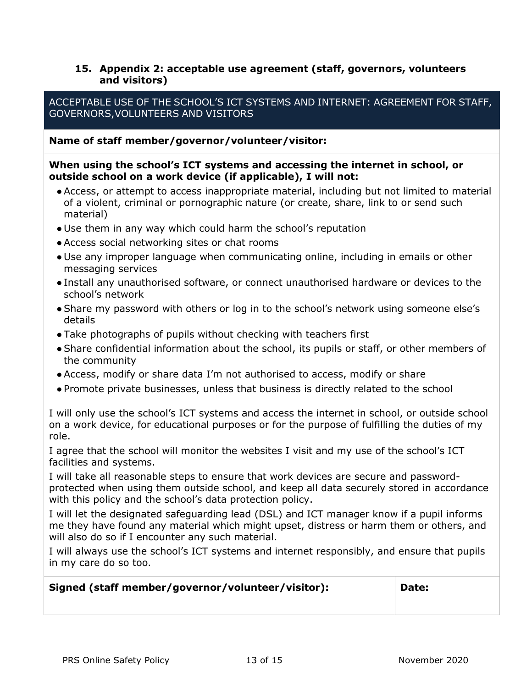### <span id="page-12-0"></span>**15. Appendix 2: acceptable use agreement (staff, governors, volunteers and visitors)**

### ACCEPTABLE USE OF THE SCHOOL'S ICT SYSTEMS AND INTERNET: AGREEMENT FOR STAFF, GOVERNORS,VOLUNTEERS AND VISITORS

#### **Name of staff member/governor/volunteer/visitor:**

#### **When using the school's ICT systems and accessing the internet in school, or outside school on a work device (if applicable), I will not:**

- ●Access, or attempt to access inappropriate material, including but not limited to material of a violent, criminal or pornographic nature (or create, share, link to or send such material)
- Use them in any way which could harm the school's reputation
- ●Access social networking sites or chat rooms
- Use any improper language when communicating online, including in emails or other messaging services
- Install any unauthorised software, or connect unauthorised hardware or devices to the school's network
- Share my password with others or log in to the school's network using someone else's details
- Take photographs of pupils without checking with teachers first
- ●Share confidential information about the school, its pupils or staff, or other members of the community
- ●Access, modify or share data I'm not authorised to access, modify or share
- Promote private businesses, unless that business is directly related to the school

I will only use the school's ICT systems and access the internet in school, or outside school on a work device, for educational purposes or for the purpose of fulfilling the duties of my role.

I agree that the school will monitor the websites I visit and my use of the school's ICT facilities and systems.

I will take all reasonable steps to ensure that work devices are secure and passwordprotected when using them outside school, and keep all data securely stored in accordance with this policy and the school's data protection policy.

I will let the designated safeguarding lead (DSL) and ICT manager know if a pupil informs me they have found any material which might upset, distress or harm them or others, and will also do so if I encounter any such material.

I will always use the school's ICT systems and internet responsibly, and ensure that pupils in my care do so too.

#### <span id="page-12-1"></span>**Signed (staff member/governor/volunteer/visitor): Date:**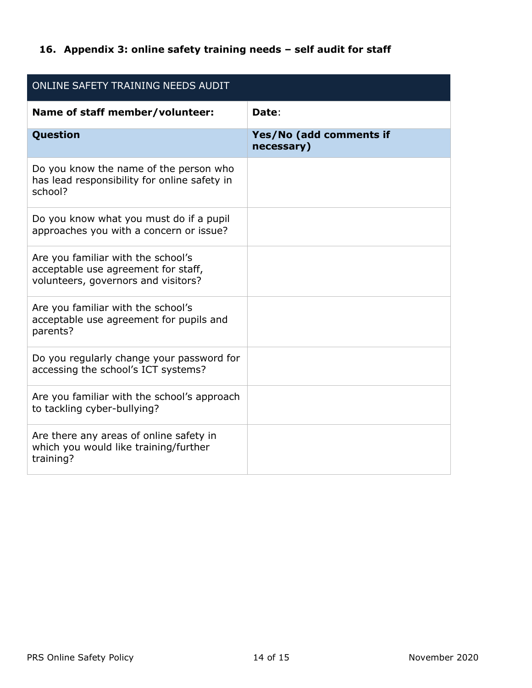# <span id="page-13-0"></span>**16. Appendix 3: online safety training needs – self audit for staff**

| ONLINE SAFETY TRAINING NEEDS AUDIT                                                                               |                                       |  |
|------------------------------------------------------------------------------------------------------------------|---------------------------------------|--|
| Name of staff member/volunteer:                                                                                  | Date:                                 |  |
| Question                                                                                                         | Yes/No (add comments if<br>necessary) |  |
| Do you know the name of the person who<br>has lead responsibility for online safety in<br>school?                |                                       |  |
| Do you know what you must do if a pupil<br>approaches you with a concern or issue?                               |                                       |  |
| Are you familiar with the school's<br>acceptable use agreement for staff,<br>volunteers, governors and visitors? |                                       |  |
| Are you familiar with the school's<br>acceptable use agreement for pupils and<br>parents?                        |                                       |  |
| Do you regularly change your password for<br>accessing the school's ICT systems?                                 |                                       |  |
| Are you familiar with the school's approach<br>to tackling cyber-bullying?                                       |                                       |  |
| Are there any areas of online safety in<br>which you would like training/further<br>training?                    |                                       |  |